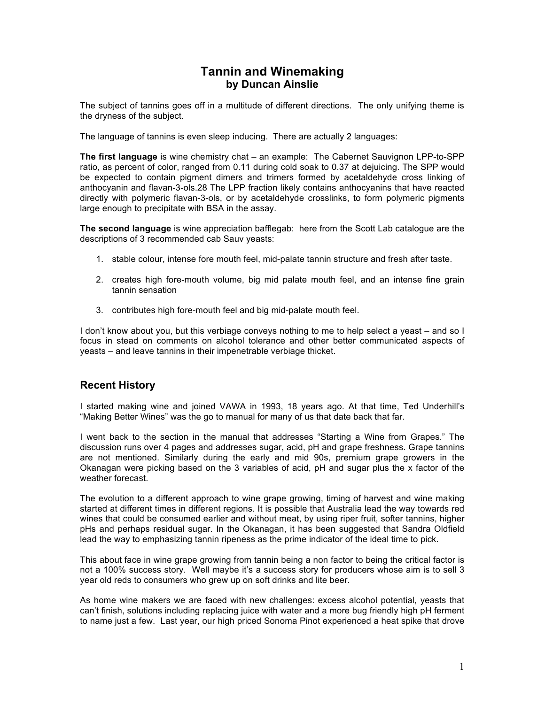# **Tannin and Winemaking by Duncan Ainslie**

The subject of tannins goes off in a multitude of different directions. The only unifying theme is the dryness of the subject.

The language of tannins is even sleep inducing. There are actually 2 languages:

**The first language** is wine chemistry chat – an example: The Cabernet Sauvignon LPP-to-SPP ratio, as percent of color, ranged from 0.11 during cold soak to 0.37 at dejuicing. The SPP would be expected to contain pigment dimers and trimers formed by acetaldehyde cross linking of anthocyanin and flavan-3-ols.28 The LPP fraction likely contains anthocyanins that have reacted directly with polymeric flavan-3-ols, or by acetaldehyde crosslinks, to form polymeric pigments large enough to precipitate with BSA in the assay.

**The second language** is wine appreciation bafflegab: here from the Scott Lab catalogue are the descriptions of 3 recommended cab Sauv yeasts:

- 1. stable colour, intense fore mouth feel, mid-palate tannin structure and fresh after taste.
- 2. creates high fore-mouth volume, big mid palate mouth feel, and an intense fine grain tannin sensation
- 3. contributes high fore-mouth feel and big mid-palate mouth feel.

I don't know about you, but this verbiage conveys nothing to me to help select a yeast – and so I focus in stead on comments on alcohol tolerance and other better communicated aspects of yeasts – and leave tannins in their impenetrable verbiage thicket.

## **Recent History**

I started making wine and joined VAWA in 1993, 18 years ago. At that time, Ted Underhill's "Making Better Wines" was the go to manual for many of us that date back that far.

I went back to the section in the manual that addresses "Starting a Wine from Grapes." The discussion runs over 4 pages and addresses sugar, acid, pH and grape freshness. Grape tannins are not mentioned. Similarly during the early and mid 90s, premium grape growers in the Okanagan were picking based on the 3 variables of acid, pH and sugar plus the x factor of the weather forecast.

The evolution to a different approach to wine grape growing, timing of harvest and wine making started at different times in different regions. It is possible that Australia lead the way towards red wines that could be consumed earlier and without meat, by using riper fruit, softer tannins, higher pHs and perhaps residual sugar. In the Okanagan, it has been suggested that Sandra Oldfield lead the way to emphasizing tannin ripeness as the prime indicator of the ideal time to pick.

This about face in wine grape growing from tannin being a non factor to being the critical factor is not a 100% success story. Well maybe it's a success story for producers whose aim is to sell 3 year old reds to consumers who grew up on soft drinks and lite beer.

As home wine makers we are faced with new challenges: excess alcohol potential, yeasts that can't finish, solutions including replacing juice with water and a more bug friendly high pH ferment to name just a few. Last year, our high priced Sonoma Pinot experienced a heat spike that drove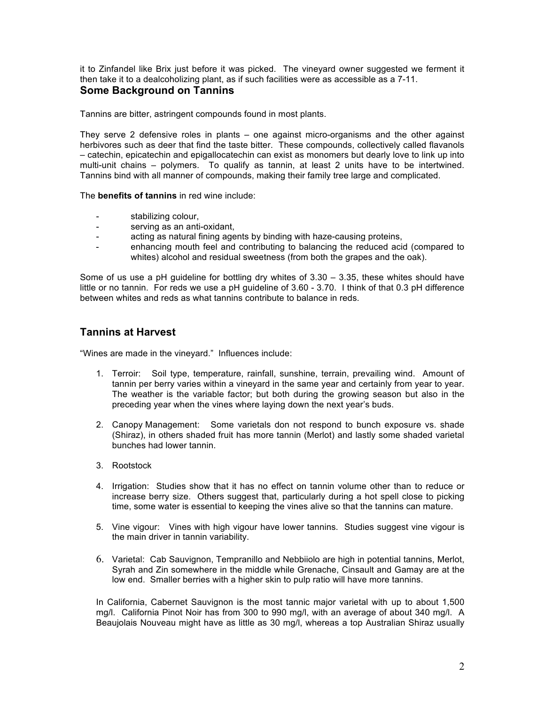it to Zinfandel like Brix just before it was picked. The vineyard owner suggested we ferment it then take it to a dealcoholizing plant, as if such facilities were as accessible as a 7-11. **Some Background on Tannins**

Tannins are bitter, astringent compounds found in most plants.

They serve 2 defensive roles in plants – one against micro-organisms and the other against herbivores such as deer that find the taste bitter. These compounds, collectively called flavanols – catechin, epicatechin and epigallocatechin can exist as monomers but dearly love to link up into multi-unit chains – polymers. To qualify as tannin, at least 2 units have to be intertwined. Tannins bind with all manner of compounds, making their family tree large and complicated.

The **benefits of tannins** in red wine include:

- stabilizing colour,
- serving as an anti-oxidant,
- acting as natural fining agents by binding with haze-causing proteins,
- enhancing mouth feel and contributing to balancing the reduced acid (compared to whites) alcohol and residual sweetness (from both the grapes and the oak).

Some of us use a pH guideline for bottling dry whites of  $3.30 - 3.35$ , these whites should have little or no tannin. For reds we use a pH guideline of 3.60 - 3.70. I think of that 0.3 pH difference between whites and reds as what tannins contribute to balance in reds.

## **Tannins at Harvest**

"Wines are made in the vineyard." Influences include:

- 1. Terroir: Soil type, temperature, rainfall, sunshine, terrain, prevailing wind. Amount of tannin per berry varies within a vineyard in the same year and certainly from year to year. The weather is the variable factor; but both during the growing season but also in the preceding year when the vines where laying down the next year's buds.
- 2. Canopy Management: Some varietals don not respond to bunch exposure vs. shade (Shiraz), in others shaded fruit has more tannin (Merlot) and lastly some shaded varietal bunches had lower tannin.
- 3. Rootstock
- 4. Irrigation: Studies show that it has no effect on tannin volume other than to reduce or increase berry size. Others suggest that, particularly during a hot spell close to picking time, some water is essential to keeping the vines alive so that the tannins can mature.
- 5. Vine vigour: Vines with high vigour have lower tannins. Studies suggest vine vigour is the main driver in tannin variability.
- 6. Varietal: Cab Sauvignon, Tempranillo and Nebbiiolo are high in potential tannins, Merlot, Syrah and Zin somewhere in the middle while Grenache, Cinsault and Gamay are at the low end. Smaller berries with a higher skin to pulp ratio will have more tannins.

In California, Cabernet Sauvignon is the most tannic major varietal with up to about 1,500 mg/l. California Pinot Noir has from 300 to 990 mg/l, with an average of about 340 mg/l. A Beaujolais Nouveau might have as little as 30 mg/l, whereas a top Australian Shiraz usually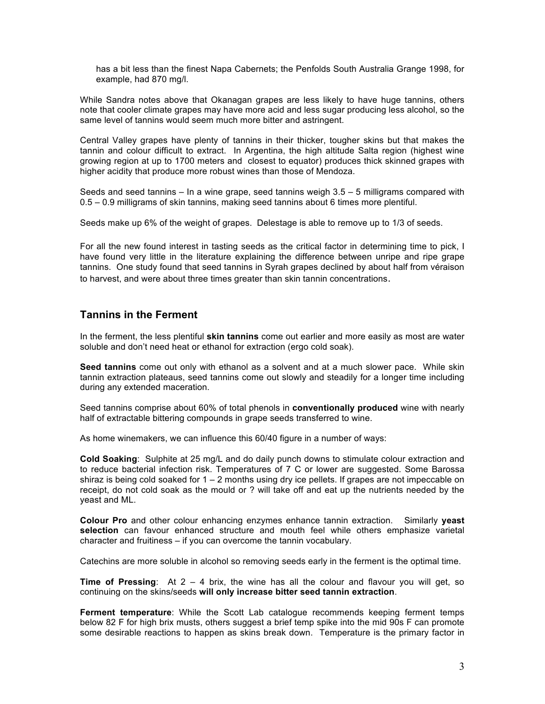has a bit less than the finest Napa Cabernets; the Penfolds South Australia Grange 1998, for example, had 870 mg/l.

While Sandra notes above that Okanagan grapes are less likely to have huge tannins, others note that cooler climate grapes may have more acid and less sugar producing less alcohol, so the same level of tannins would seem much more bitter and astringent.

Central Valley grapes have plenty of tannins in their thicker, tougher skins but that makes the tannin and colour difficult to extract. In Argentina, the high altitude Salta region (highest wine growing region at up to 1700 meters and closest to equator) produces thick skinned grapes with higher acidity that produce more robust wines than those of Mendoza.

Seeds and seed tannins  $-$  In a wine grape, seed tannins weigh  $3.5 - 5$  milligrams compared with 0.5 – 0.9 milligrams of skin tannins, making seed tannins about 6 times more plentiful.

Seeds make up 6% of the weight of grapes. Delestage is able to remove up to 1/3 of seeds.

For all the new found interest in tasting seeds as the critical factor in determining time to pick, I have found very little in the literature explaining the difference between unripe and ripe grape tannins. One study found that seed tannins in Syrah grapes declined by about half from véraison to harvest, and were about three times greater than skin tannin concentrations.

## **Tannins in the Ferment**

In the ferment, the less plentiful **skin tannins** come out earlier and more easily as most are water soluble and don't need heat or ethanol for extraction (ergo cold soak).

**Seed tannins** come out only with ethanol as a solvent and at a much slower pace. While skin tannin extraction plateaus, seed tannins come out slowly and steadily for a longer time including during any extended maceration.

Seed tannins comprise about 60% of total phenols in **conventionally produced** wine with nearly half of extractable bittering compounds in grape seeds transferred to wine.

As home winemakers, we can influence this 60/40 figure in a number of ways:

**Cold Soaking**: Sulphite at 25 mg/L and do daily punch downs to stimulate colour extraction and to reduce bacterial infection risk. Temperatures of 7 C or lower are suggested. Some Barossa shiraz is being cold soaked for  $1 - 2$  months using dry ice pellets. If grapes are not impeccable on receipt, do not cold soak as the mould or ? will take off and eat up the nutrients needed by the yeast and ML.

**Colour Pro** and other colour enhancing enzymes enhance tannin extraction. Similarly **yeast selection** can favour enhanced structure and mouth feel while others emphasize varietal character and fruitiness – if you can overcome the tannin vocabulary.

Catechins are more soluble in alcohol so removing seeds early in the ferment is the optimal time.

**Time of Pressing**: At 2 – 4 brix, the wine has all the colour and flavour you will get, so continuing on the skins/seeds **will only increase bitter seed tannin extraction**.

**Ferment temperature**: While the Scott Lab catalogue recommends keeping ferment temps below 82 F for high brix musts, others suggest a brief temp spike into the mid 90s F can promote some desirable reactions to happen as skins break down. Temperature is the primary factor in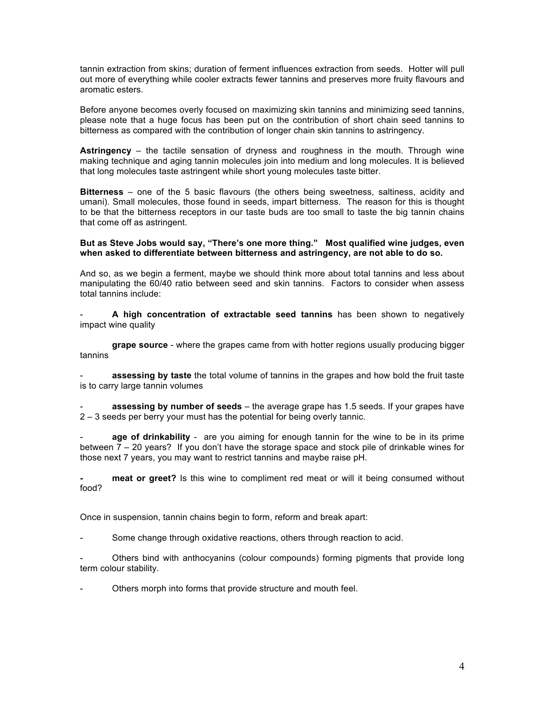tannin extraction from skins; duration of ferment influences extraction from seeds. Hotter will pull out more of everything while cooler extracts fewer tannins and preserves more fruity flavours and aromatic esters.

Before anyone becomes overly focused on maximizing skin tannins and minimizing seed tannins, please note that a huge focus has been put on the contribution of short chain seed tannins to bitterness as compared with the contribution of longer chain skin tannins to astringency.

**Astringency** – the tactile sensation of dryness and roughness in the mouth. Through wine making technique and aging tannin molecules join into medium and long molecules. It is believed that long molecules taste astringent while short young molecules taste bitter.

**Bitterness** – one of the 5 basic flavours (the others being sweetness, saltiness, acidity and umani). Small molecules, those found in seeds, impart bitterness. The reason for this is thought to be that the bitterness receptors in our taste buds are too small to taste the big tannin chains that come off as astringent.

**But as Steve Jobs would say, "There's one more thing." Most qualified wine judges, even when asked to differentiate between bitterness and astringency, are not able to do so.** 

And so, as we begin a ferment, maybe we should think more about total tannins and less about manipulating the 60/40 ratio between seed and skin tannins. Factors to consider when assess total tannins include:

- **A high concentration of extractable seed tannins** has been shown to negatively impact wine quality

**grape source** - where the grapes came from with hotter regions usually producing bigger tannins

assessing by taste the total volume of tannins in the grapes and how bold the fruit taste is to carry large tannin volumes

assessing by number of seeds – the average grape has 1.5 seeds. If your grapes have 2 – 3 seeds per berry your must has the potential for being overly tannic.

**age of drinkability** - are you aiming for enough tannin for the wine to be in its prime between 7 – 20 years? If you don't have the storage space and stock pile of drinkable wines for those next 7 years, you may want to restrict tannins and maybe raise pH.

**- meat or greet?** Is this wine to compliment red meat or will it being consumed without food?

Once in suspension, tannin chains begin to form, reform and break apart:

Some change through oxidative reactions, others through reaction to acid.

- Others bind with anthocyanins (colour compounds) forming pigments that provide long term colour stability.

Others morph into forms that provide structure and mouth feel.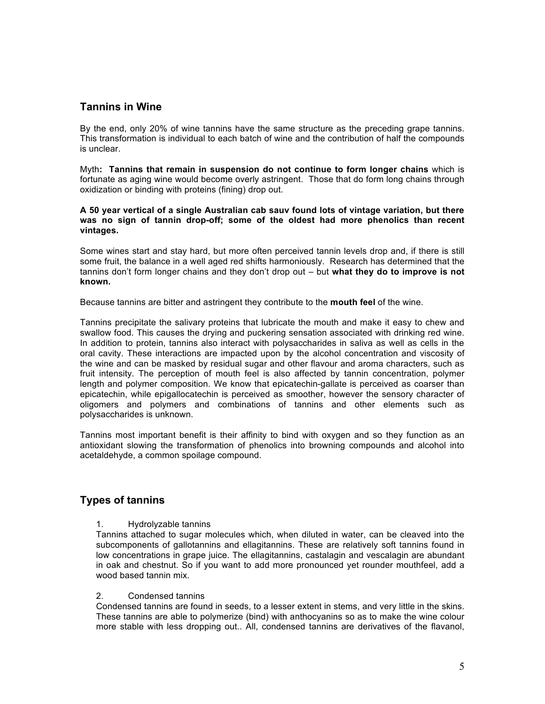### **Tannins in Wine**

By the end, only 20% of wine tannins have the same structure as the preceding grape tannins. This transformation is individual to each batch of wine and the contribution of half the compounds is unclear.

Myth**: Tannins that remain in suspension do not continue to form longer chains** which is fortunate as aging wine would become overly astringent. Those that do form long chains through oxidization or binding with proteins (fining) drop out.

**A 50 year vertical of a single Australian cab sauv found lots of vintage variation, but there was no sign of tannin drop-off; some of the oldest had more phenolics than recent vintages.**

Some wines start and stay hard, but more often perceived tannin levels drop and, if there is still some fruit, the balance in a well aged red shifts harmoniously. Research has determined that the tannins don't form longer chains and they don't drop out – but **what they do to improve is not known.**

Because tannins are bitter and astringent they contribute to the **mouth feel** of the wine.

Tannins precipitate the salivary proteins that lubricate the mouth and make it easy to chew and swallow food. This causes the drying and puckering sensation associated with drinking red wine. In addition to protein, tannins also interact with polysaccharides in saliva as well as cells in the oral cavity. These interactions are impacted upon by the alcohol concentration and viscosity of the wine and can be masked by residual sugar and other flavour and aroma characters, such as fruit intensity. The perception of mouth feel is also affected by tannin concentration, polymer length and polymer composition. We know that epicatechin-gallate is perceived as coarser than epicatechin, while epigallocatechin is perceived as smoother, however the sensory character of oligomers and polymers and combinations of tannins and other elements such as polysaccharides is unknown.

Tannins most important benefit is their affinity to bind with oxygen and so they function as an antioxidant slowing the transformation of phenolics into browning compounds and alcohol into acetaldehyde, a common spoilage compound.

## **Types of tannins**

#### 1. Hydrolyzable tannins

Tannins attached to sugar molecules which, when diluted in water, can be cleaved into the subcomponents of gallotannins and ellagitannins. These are relatively soft tannins found in low concentrations in grape juice. The ellagitannins, castalagin and vescalagin are abundant in oak and chestnut. So if you want to add more pronounced yet rounder mouthfeel, add a wood based tannin mix.

#### 2. Condensed tannins

Condensed tannins are found in seeds, to a lesser extent in stems, and very little in the skins. These tannins are able to polymerize (bind) with anthocyanins so as to make the wine colour more stable with less dropping out.. All, condensed tannins are derivatives of the flavanol,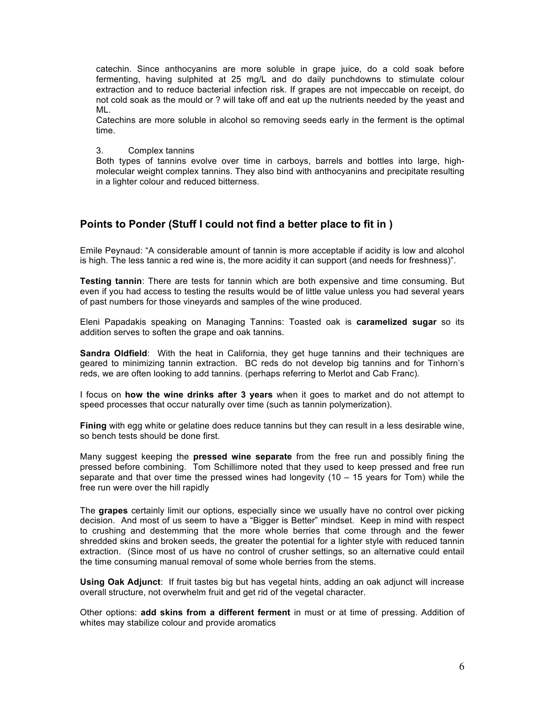catechin. Since anthocyanins are more soluble in grape juice, do a cold soak before fermenting, having sulphited at 25 mg/L and do daily punchdowns to stimulate colour extraction and to reduce bacterial infection risk. If grapes are not impeccable on receipt, do not cold soak as the mould or ? will take off and eat up the nutrients needed by the yeast and ML.

Catechins are more soluble in alcohol so removing seeds early in the ferment is the optimal time.

#### 3. Complex tannins

Both types of tannins evolve over time in carboys, barrels and bottles into large, highmolecular weight complex tannins. They also bind with anthocyanins and precipitate resulting in a lighter colour and reduced bitterness.

## **Points to Ponder (Stuff I could not find a better place to fit in )**

Emile Peynaud: "A considerable amount of tannin is more acceptable if acidity is low and alcohol is high. The less tannic a red wine is, the more acidity it can support (and needs for freshness)".

**Testing tannin**: There are tests for tannin which are both expensive and time consuming. But even if you had access to testing the results would be of little value unless you had several years of past numbers for those vineyards and samples of the wine produced.

Eleni Papadakis speaking on Managing Tannins: Toasted oak is **caramelized sugar** so its addition serves to soften the grape and oak tannins.

**Sandra Oldfield**: With the heat in California, they get huge tannins and their techniques are geared to minimizing tannin extraction. BC reds do not develop big tannins and for Tinhorn's reds, we are often looking to add tannins. (perhaps referring to Merlot and Cab Franc).

I focus on **how the wine drinks after 3 years** when it goes to market and do not attempt to speed processes that occur naturally over time (such as tannin polymerization).

**Fining** with egg white or gelatine does reduce tannins but they can result in a less desirable wine, so bench tests should be done first.

Many suggest keeping the **pressed wine separate** from the free run and possibly fining the pressed before combining. Tom Schillimore noted that they used to keep pressed and free run separate and that over time the pressed wines had longevity (10 – 15 years for Tom) while the free run were over the hill rapidly

The **grapes** certainly limit our options, especially since we usually have no control over picking decision. And most of us seem to have a "Bigger is Better" mindset. Keep in mind with respect to crushing and destemming that the more whole berries that come through and the fewer shredded skins and broken seeds, the greater the potential for a lighter style with reduced tannin extraction. (Since most of us have no control of crusher settings, so an alternative could entail the time consuming manual removal of some whole berries from the stems.

**Using Oak Adjunct**: If fruit tastes big but has vegetal hints, adding an oak adjunct will increase overall structure, not overwhelm fruit and get rid of the vegetal character.

Other options: **add skins from a different ferment** in must or at time of pressing. Addition of whites may stabilize colour and provide aromatics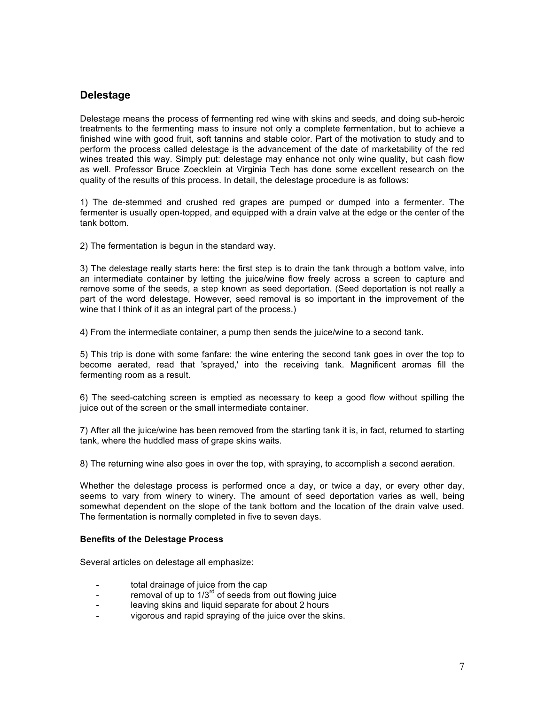# **Delestage**

Delestage means the process of fermenting red wine with skins and seeds, and doing sub-heroic treatments to the fermenting mass to insure not only a complete fermentation, but to achieve a finished wine with good fruit, soft tannins and stable color. Part of the motivation to study and to perform the process called delestage is the advancement of the date of marketability of the red wines treated this way. Simply put: delestage may enhance not only wine quality, but cash flow as well. Professor Bruce Zoecklein at Virginia Tech has done some excellent research on the quality of the results of this process. In detail, the delestage procedure is as follows:

1) The de-stemmed and crushed red grapes are pumped or dumped into a fermenter. The fermenter is usually open-topped, and equipped with a drain valve at the edge or the center of the tank bottom.

2) The fermentation is begun in the standard way.

3) The delestage really starts here: the first step is to drain the tank through a bottom valve, into an intermediate container by letting the juice/wine flow freely across a screen to capture and remove some of the seeds, a step known as seed deportation. (Seed deportation is not really a part of the word delestage. However, seed removal is so important in the improvement of the wine that I think of it as an integral part of the process.)

4) From the intermediate container, a pump then sends the juice/wine to a second tank.

5) This trip is done with some fanfare: the wine entering the second tank goes in over the top to become aerated, read that 'sprayed,' into the receiving tank. Magnificent aromas fill the fermenting room as a result.

6) The seed-catching screen is emptied as necessary to keep a good flow without spilling the juice out of the screen or the small intermediate container.

7) After all the juice/wine has been removed from the starting tank it is, in fact, returned to starting tank, where the huddled mass of grape skins waits.

8) The returning wine also goes in over the top, with spraying, to accomplish a second aeration.

Whether the delestage process is performed once a day, or twice a day, or every other day, seems to vary from winery to winery. The amount of seed deportation varies as well, being somewhat dependent on the slope of the tank bottom and the location of the drain valve used. The fermentation is normally completed in five to seven days.

#### **Benefits of the Delestage Process**

Several articles on delestage all emphasize:

- total drainage of juice from the cap
- removal of up to  $1/3^{rd}$  of seeds from out flowing juice
- leaving skins and liquid separate for about 2 hours
- vigorous and rapid spraying of the juice over the skins.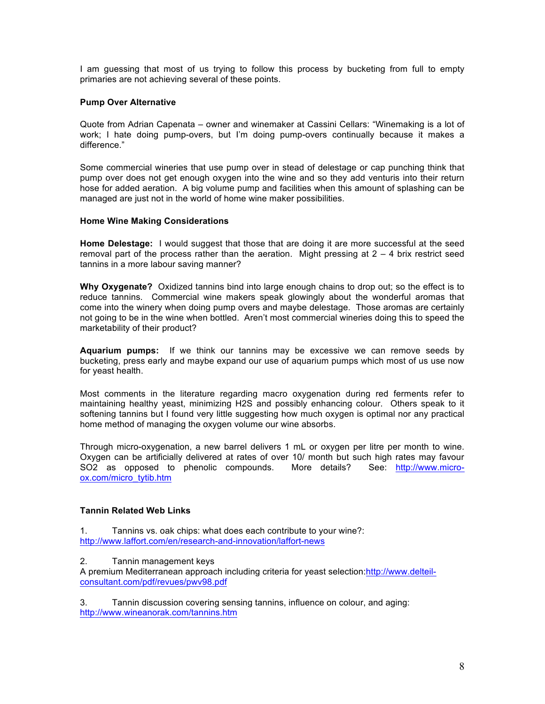I am guessing that most of us trying to follow this process by bucketing from full to empty primaries are not achieving several of these points.

### **Pump Over Alternative**

Quote from Adrian Capenata – owner and winemaker at Cassini Cellars: "Winemaking is a lot of work; I hate doing pump-overs, but I'm doing pump-overs continually because it makes a difference."

Some commercial wineries that use pump over in stead of delestage or cap punching think that pump over does not get enough oxygen into the wine and so they add venturis into their return hose for added aeration. A big volume pump and facilities when this amount of splashing can be managed are just not in the world of home wine maker possibilities.

#### **Home Wine Making Considerations**

**Home Delestage:** I would suggest that those that are doing it are more successful at the seed removal part of the process rather than the aeration. Might pressing at 2 – 4 brix restrict seed tannins in a more labour saving manner?

**Why Oxygenate?** Oxidized tannins bind into large enough chains to drop out; so the effect is to reduce tannins. Commercial wine makers speak glowingly about the wonderful aromas that come into the winery when doing pump overs and maybe delestage. Those aromas are certainly not going to be in the wine when bottled. Aren't most commercial wineries doing this to speed the marketability of their product?

**Aquarium pumps:** If we think our tannins may be excessive we can remove seeds by bucketing, press early and maybe expand our use of aquarium pumps which most of us use now for yeast health.

Most comments in the literature regarding macro oxygenation during red ferments refer to maintaining healthy yeast, minimizing H2S and possibly enhancing colour. Others speak to it softening tannins but I found very little suggesting how much oxygen is optimal nor any practical home method of managing the oxygen volume our wine absorbs.

Through micro-oxygenation, a new barrel delivers 1 mL or oxygen per litre per month to wine. Oxygen can be artificially delivered at rates of over 10/ month but such high rates may favour SO2 as opposed to phenolic compounds. More details? See: http://www.microox.com/micro\_tytib.htm

### **Tannin Related Web Links**

1. Tannins vs. oak chips: what does each contribute to your wine?: http://www.laffort.com/en/research-and-innovation/laffort-news

#### 2. Tannin management keys

A premium Mediterranean approach including criteria for yeast selection: http://www.delteilconsultant.com/pdf/revues/pwv98.pdf

3. Tannin discussion covering sensing tannins, influence on colour, and aging: http://www.wineanorak.com/tannins.htm